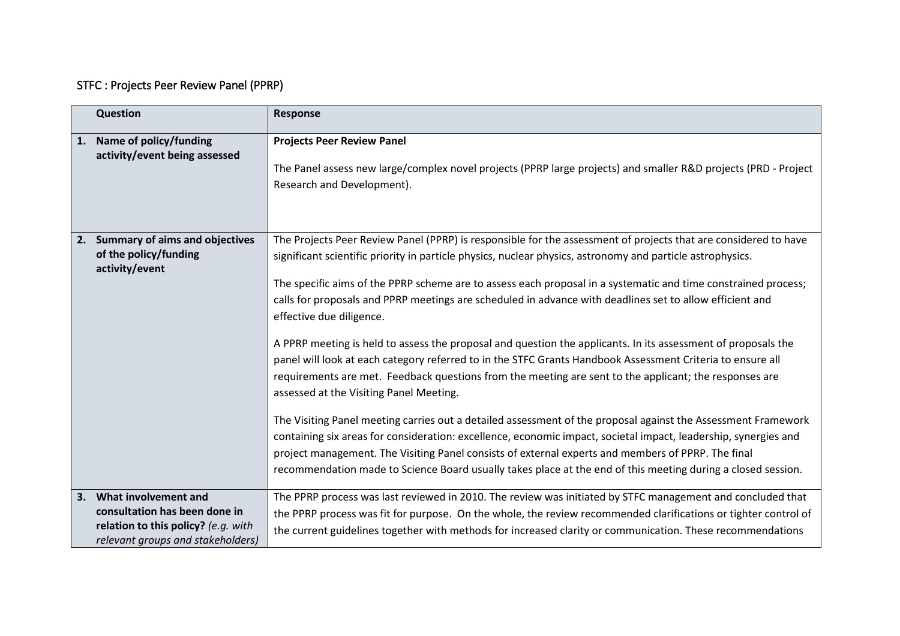## STFC : Projects Peer Review Panel (PPRP)

|    | Question                                                                                                                             | Response                                                                                                                                                                                                                                                                                                                                                                                                                                                                                                                                                                                                                                                                                                                                                                                                                                                                                                                                                                                                                                                                                                                                                                                                                                                                                                                              |
|----|--------------------------------------------------------------------------------------------------------------------------------------|---------------------------------------------------------------------------------------------------------------------------------------------------------------------------------------------------------------------------------------------------------------------------------------------------------------------------------------------------------------------------------------------------------------------------------------------------------------------------------------------------------------------------------------------------------------------------------------------------------------------------------------------------------------------------------------------------------------------------------------------------------------------------------------------------------------------------------------------------------------------------------------------------------------------------------------------------------------------------------------------------------------------------------------------------------------------------------------------------------------------------------------------------------------------------------------------------------------------------------------------------------------------------------------------------------------------------------------|
| 1. | Name of policy/funding<br>activity/event being assessed                                                                              | <b>Projects Peer Review Panel</b><br>The Panel assess new large/complex novel projects (PPRP large projects) and smaller R&D projects (PRD - Project<br>Research and Development).                                                                                                                                                                                                                                                                                                                                                                                                                                                                                                                                                                                                                                                                                                                                                                                                                                                                                                                                                                                                                                                                                                                                                    |
|    | 2. Summary of aims and objectives<br>of the policy/funding<br>activity/event                                                         | The Projects Peer Review Panel (PPRP) is responsible for the assessment of projects that are considered to have<br>significant scientific priority in particle physics, nuclear physics, astronomy and particle astrophysics.<br>The specific aims of the PPRP scheme are to assess each proposal in a systematic and time constrained process;<br>calls for proposals and PPRP meetings are scheduled in advance with deadlines set to allow efficient and<br>effective due diligence.<br>A PPRP meeting is held to assess the proposal and question the applicants. In its assessment of proposals the<br>panel will look at each category referred to in the STFC Grants Handbook Assessment Criteria to ensure all<br>requirements are met. Feedback questions from the meeting are sent to the applicant; the responses are<br>assessed at the Visiting Panel Meeting.<br>The Visiting Panel meeting carries out a detailed assessment of the proposal against the Assessment Framework<br>containing six areas for consideration: excellence, economic impact, societal impact, leadership, synergies and<br>project management. The Visiting Panel consists of external experts and members of PPRP. The final<br>recommendation made to Science Board usually takes place at the end of this meeting during a closed session. |
|    | 3. What involvement and<br>consultation has been done in<br>relation to this policy? (e.g. with<br>relevant groups and stakeholders) | The PPRP process was last reviewed in 2010. The review was initiated by STFC management and concluded that<br>the PPRP process was fit for purpose. On the whole, the review recommended clarifications or tighter control of<br>the current guidelines together with methods for increased clarity or communication. These recommendations                                                                                                                                                                                                                                                                                                                                                                                                                                                                                                                                                                                                                                                                                                                                                                                                                                                                                                                                                                                           |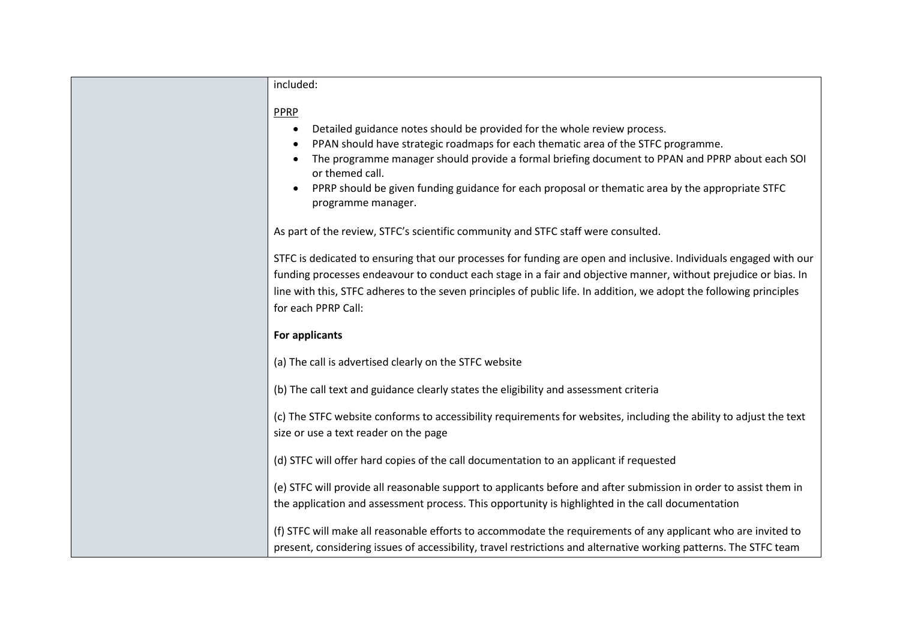| included:                                                                                                                                                                                                                                                                                                                                                                          |
|------------------------------------------------------------------------------------------------------------------------------------------------------------------------------------------------------------------------------------------------------------------------------------------------------------------------------------------------------------------------------------|
| <b>PPRP</b>                                                                                                                                                                                                                                                                                                                                                                        |
| Detailed guidance notes should be provided for the whole review process.<br>$\bullet$                                                                                                                                                                                                                                                                                              |
| PPAN should have strategic roadmaps for each thematic area of the STFC programme.                                                                                                                                                                                                                                                                                                  |
| The programme manager should provide a formal briefing document to PPAN and PPRP about each SOI<br>or themed call.                                                                                                                                                                                                                                                                 |
| PPRP should be given funding guidance for each proposal or thematic area by the appropriate STFC<br>programme manager.                                                                                                                                                                                                                                                             |
| As part of the review, STFC's scientific community and STFC staff were consulted.                                                                                                                                                                                                                                                                                                  |
| STFC is dedicated to ensuring that our processes for funding are open and inclusive. Individuals engaged with our<br>funding processes endeavour to conduct each stage in a fair and objective manner, without prejudice or bias. In<br>line with this, STFC adheres to the seven principles of public life. In addition, we adopt the following principles<br>for each PPRP Call: |
| For applicants                                                                                                                                                                                                                                                                                                                                                                     |
| (a) The call is advertised clearly on the STFC website                                                                                                                                                                                                                                                                                                                             |
| (b) The call text and guidance clearly states the eligibility and assessment criteria                                                                                                                                                                                                                                                                                              |
| (c) The STFC website conforms to accessibility requirements for websites, including the ability to adjust the text                                                                                                                                                                                                                                                                 |
| size or use a text reader on the page                                                                                                                                                                                                                                                                                                                                              |
| (d) STFC will offer hard copies of the call documentation to an applicant if requested                                                                                                                                                                                                                                                                                             |
| (e) STFC will provide all reasonable support to applicants before and after submission in order to assist them in                                                                                                                                                                                                                                                                  |
| the application and assessment process. This opportunity is highlighted in the call documentation                                                                                                                                                                                                                                                                                  |
| (f) STFC will make all reasonable efforts to accommodate the requirements of any applicant who are invited to                                                                                                                                                                                                                                                                      |
| present, considering issues of accessibility, travel restrictions and alternative working patterns. The STFC team                                                                                                                                                                                                                                                                  |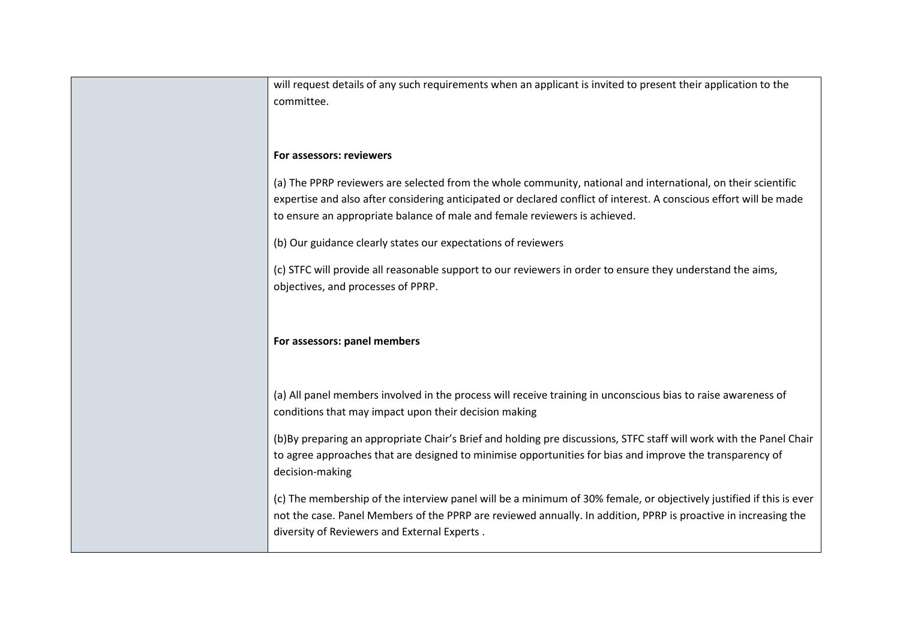| will request details of any such requirements when an applicant is invited to present their application to the      |
|---------------------------------------------------------------------------------------------------------------------|
|                                                                                                                     |
| committee.                                                                                                          |
|                                                                                                                     |
|                                                                                                                     |
|                                                                                                                     |
| For assessors: reviewers                                                                                            |
|                                                                                                                     |
| (a) The PPRP reviewers are selected from the whole community, national and international, on their scientific       |
| expertise and also after considering anticipated or declared conflict of interest. A conscious effort will be made  |
|                                                                                                                     |
| to ensure an appropriate balance of male and female reviewers is achieved.                                          |
|                                                                                                                     |
| (b) Our guidance clearly states our expectations of reviewers                                                       |
| (c) STFC will provide all reasonable support to our reviewers in order to ensure they understand the aims,          |
|                                                                                                                     |
| objectives, and processes of PPRP.                                                                                  |
|                                                                                                                     |
|                                                                                                                     |
|                                                                                                                     |
| For assessors: panel members                                                                                        |
|                                                                                                                     |
|                                                                                                                     |
|                                                                                                                     |
| (a) All panel members involved in the process will receive training in unconscious bias to raise awareness of       |
| conditions that may impact upon their decision making                                                               |
|                                                                                                                     |
| (b)By preparing an appropriate Chair's Brief and holding pre discussions, STFC staff will work with the Panel Chair |
| to agree approaches that are designed to minimise opportunities for bias and improve the transparency of            |
|                                                                                                                     |
| decision-making                                                                                                     |
|                                                                                                                     |
| (c) The membership of the interview panel will be a minimum of 30% female, or objectively justified if this is ever |
| not the case. Panel Members of the PPRP are reviewed annually. In addition, PPRP is proactive in increasing the     |
| diversity of Reviewers and External Experts.                                                                        |
|                                                                                                                     |
|                                                                                                                     |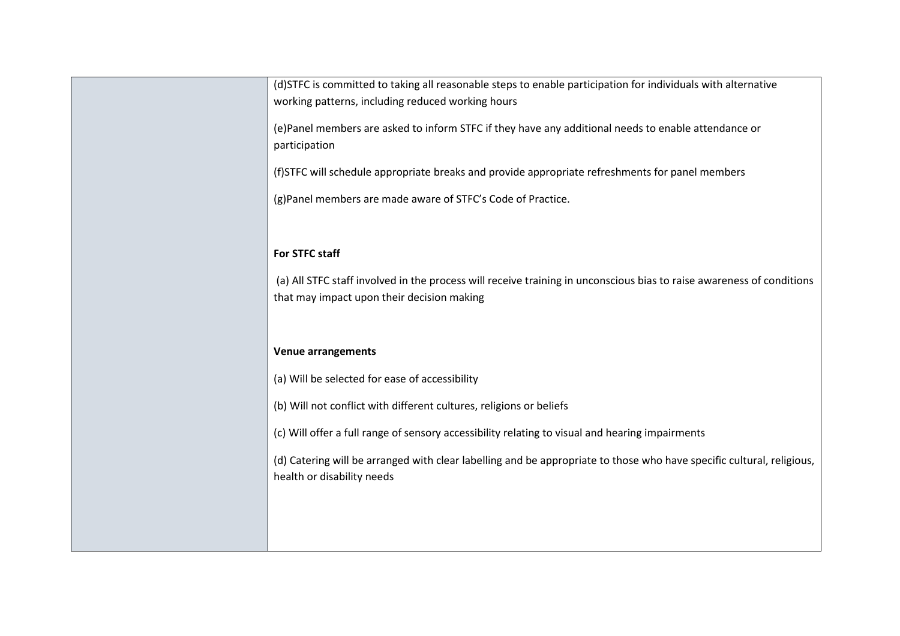| (d)STFC is committed to taking all reasonable steps to enable participation for individuals with alternative<br>working patterns, including reduced working hours   |
|---------------------------------------------------------------------------------------------------------------------------------------------------------------------|
| (e)Panel members are asked to inform STFC if they have any additional needs to enable attendance or<br>participation                                                |
| (f)STFC will schedule appropriate breaks and provide appropriate refreshments for panel members                                                                     |
| (g)Panel members are made aware of STFC's Code of Practice.                                                                                                         |
| For STFC staff                                                                                                                                                      |
| (a) All STFC staff involved in the process will receive training in unconscious bias to raise awareness of conditions<br>that may impact upon their decision making |
| <b>Venue arrangements</b>                                                                                                                                           |
| (a) Will be selected for ease of accessibility                                                                                                                      |
| (b) Will not conflict with different cultures, religions or beliefs                                                                                                 |
| (c) Will offer a full range of sensory accessibility relating to visual and hearing impairments                                                                     |
| (d) Catering will be arranged with clear labelling and be appropriate to those who have specific cultural, religious,<br>health or disability needs                 |
|                                                                                                                                                                     |
|                                                                                                                                                                     |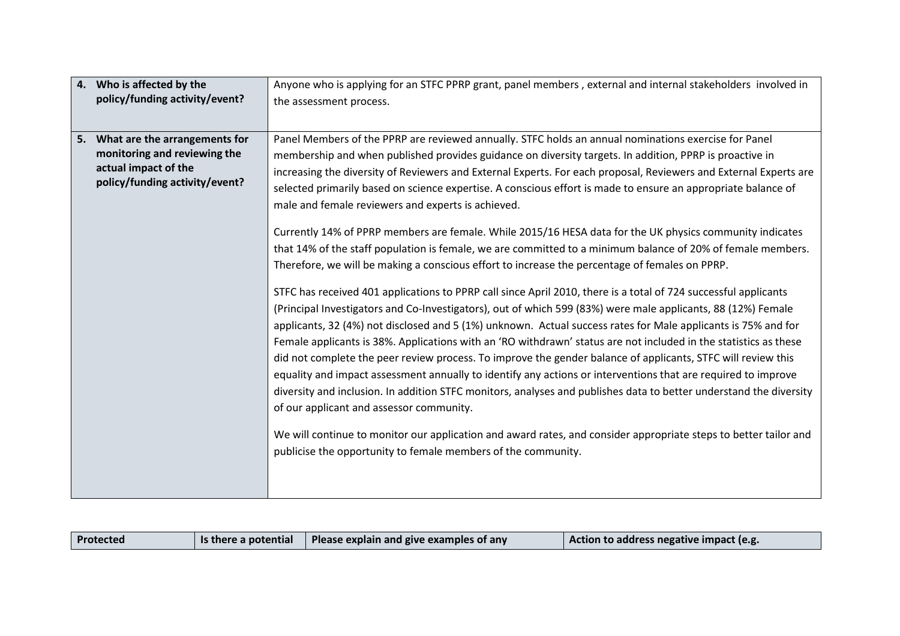| 4.<br>Who is affected by the                                                                                               | Anyone who is applying for an STFC PPRP grant, panel members, external and internal stakeholders involved in                                                                                                                                                                                                                                                                                                                                                                                                                                                                                                                                                                                                                                                                                                                                                                                                                                                                                                                                                                                                                                                                                                                                                                                                                                                                                                                                                                                                                                                                                                                                                                                                                                                                                                                                                                                             |  |
|----------------------------------------------------------------------------------------------------------------------------|----------------------------------------------------------------------------------------------------------------------------------------------------------------------------------------------------------------------------------------------------------------------------------------------------------------------------------------------------------------------------------------------------------------------------------------------------------------------------------------------------------------------------------------------------------------------------------------------------------------------------------------------------------------------------------------------------------------------------------------------------------------------------------------------------------------------------------------------------------------------------------------------------------------------------------------------------------------------------------------------------------------------------------------------------------------------------------------------------------------------------------------------------------------------------------------------------------------------------------------------------------------------------------------------------------------------------------------------------------------------------------------------------------------------------------------------------------------------------------------------------------------------------------------------------------------------------------------------------------------------------------------------------------------------------------------------------------------------------------------------------------------------------------------------------------------------------------------------------------------------------------------------------------|--|
| policy/funding activity/event?                                                                                             | the assessment process.                                                                                                                                                                                                                                                                                                                                                                                                                                                                                                                                                                                                                                                                                                                                                                                                                                                                                                                                                                                                                                                                                                                                                                                                                                                                                                                                                                                                                                                                                                                                                                                                                                                                                                                                                                                                                                                                                  |  |
|                                                                                                                            |                                                                                                                                                                                                                                                                                                                                                                                                                                                                                                                                                                                                                                                                                                                                                                                                                                                                                                                                                                                                                                                                                                                                                                                                                                                                                                                                                                                                                                                                                                                                                                                                                                                                                                                                                                                                                                                                                                          |  |
| 5. What are the arrangements for<br>monitoring and reviewing the<br>actual impact of the<br>policy/funding activity/event? | Panel Members of the PPRP are reviewed annually. STFC holds an annual nominations exercise for Panel<br>membership and when published provides guidance on diversity targets. In addition, PPRP is proactive in<br>increasing the diversity of Reviewers and External Experts. For each proposal, Reviewers and External Experts are<br>selected primarily based on science expertise. A conscious effort is made to ensure an appropriate balance of<br>male and female reviewers and experts is achieved.<br>Currently 14% of PPRP members are female. While 2015/16 HESA data for the UK physics community indicates<br>that 14% of the staff population is female, we are committed to a minimum balance of 20% of female members.<br>Therefore, we will be making a conscious effort to increase the percentage of females on PPRP.<br>STFC has received 401 applications to PPRP call since April 2010, there is a total of 724 successful applicants<br>(Principal Investigators and Co-Investigators), out of which 599 (83%) were male applicants, 88 (12%) Female<br>applicants, 32 (4%) not disclosed and 5 (1%) unknown. Actual success rates for Male applicants is 75% and for<br>Female applicants is 38%. Applications with an 'RO withdrawn' status are not included in the statistics as these<br>did not complete the peer review process. To improve the gender balance of applicants, STFC will review this<br>equality and impact assessment annually to identify any actions or interventions that are required to improve<br>diversity and inclusion. In addition STFC monitors, analyses and publishes data to better understand the diversity<br>of our applicant and assessor community.<br>We will continue to monitor our application and award rates, and consider appropriate steps to better tailor and<br>publicise the opportunity to female members of the community. |  |

| $\vert$ is there a potential $\vert$ Please explain and give examples of any<br>Protected | Action to address negative impact (e.g. |
|-------------------------------------------------------------------------------------------|-----------------------------------------|
|-------------------------------------------------------------------------------------------|-----------------------------------------|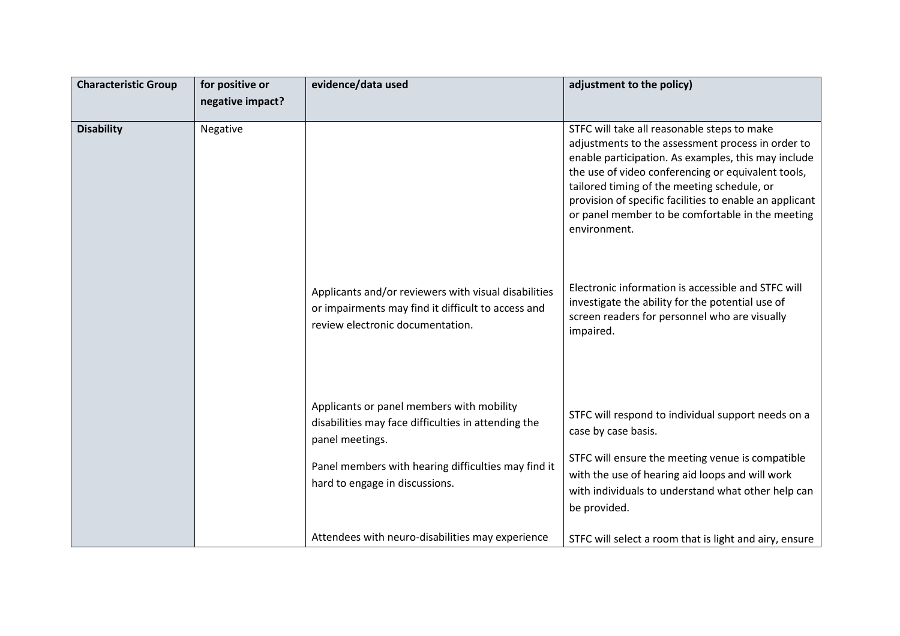| <b>Characteristic Group</b> | for positive or  | evidence/data used                                                                                                                                                                                           | adjustment to the policy)                                                                                                                                                                                                                                                                                                                                                                   |
|-----------------------------|------------------|--------------------------------------------------------------------------------------------------------------------------------------------------------------------------------------------------------------|---------------------------------------------------------------------------------------------------------------------------------------------------------------------------------------------------------------------------------------------------------------------------------------------------------------------------------------------------------------------------------------------|
|                             | negative impact? |                                                                                                                                                                                                              |                                                                                                                                                                                                                                                                                                                                                                                             |
| <b>Disability</b>           | Negative         |                                                                                                                                                                                                              | STFC will take all reasonable steps to make<br>adjustments to the assessment process in order to<br>enable participation. As examples, this may include<br>the use of video conferencing or equivalent tools,<br>tailored timing of the meeting schedule, or<br>provision of specific facilities to enable an applicant<br>or panel member to be comfortable in the meeting<br>environment. |
|                             |                  | Applicants and/or reviewers with visual disabilities<br>or impairments may find it difficult to access and<br>review electronic documentation.                                                               | Electronic information is accessible and STFC will<br>investigate the ability for the potential use of<br>screen readers for personnel who are visually<br>impaired.                                                                                                                                                                                                                        |
|                             |                  | Applicants or panel members with mobility<br>disabilities may face difficulties in attending the<br>panel meetings.<br>Panel members with hearing difficulties may find it<br>hard to engage in discussions. | STFC will respond to individual support needs on a<br>case by case basis.<br>STFC will ensure the meeting venue is compatible<br>with the use of hearing aid loops and will work<br>with individuals to understand what other help can<br>be provided.                                                                                                                                      |
|                             |                  | Attendees with neuro-disabilities may experience                                                                                                                                                             | STFC will select a room that is light and airy, ensure                                                                                                                                                                                                                                                                                                                                      |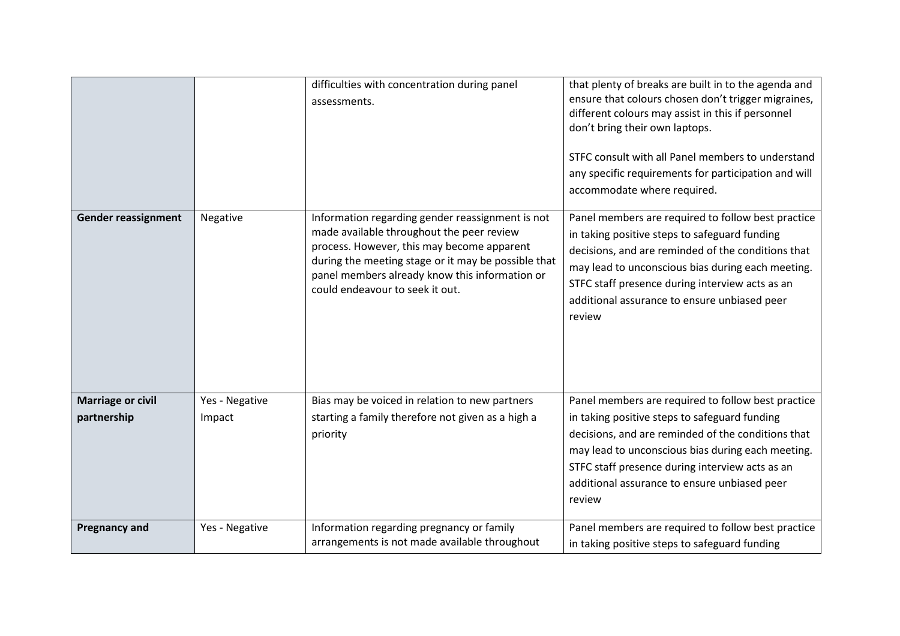|                                         |                          | difficulties with concentration during panel<br>assessments.                                                                                                                                                                                                                            | that plenty of breaks are built in to the agenda and<br>ensure that colours chosen don't trigger migraines,<br>different colours may assist in this if personnel<br>don't bring their own laptops.<br>STFC consult with all Panel members to understand<br>any specific requirements for participation and will<br>accommodate where required. |
|-----------------------------------------|--------------------------|-----------------------------------------------------------------------------------------------------------------------------------------------------------------------------------------------------------------------------------------------------------------------------------------|------------------------------------------------------------------------------------------------------------------------------------------------------------------------------------------------------------------------------------------------------------------------------------------------------------------------------------------------|
| <b>Gender reassignment</b>              | Negative                 | Information regarding gender reassignment is not<br>made available throughout the peer review<br>process. However, this may become apparent<br>during the meeting stage or it may be possible that<br>panel members already know this information or<br>could endeavour to seek it out. | Panel members are required to follow best practice<br>in taking positive steps to safeguard funding<br>decisions, and are reminded of the conditions that<br>may lead to unconscious bias during each meeting.<br>STFC staff presence during interview acts as an<br>additional assurance to ensure unbiased peer<br>review                    |
| <b>Marriage or civil</b><br>partnership | Yes - Negative<br>Impact | Bias may be voiced in relation to new partners<br>starting a family therefore not given as a high a<br>priority                                                                                                                                                                         | Panel members are required to follow best practice<br>in taking positive steps to safeguard funding<br>decisions, and are reminded of the conditions that<br>may lead to unconscious bias during each meeting.<br>STFC staff presence during interview acts as an<br>additional assurance to ensure unbiased peer<br>review                    |
| <b>Pregnancy and</b>                    | Yes - Negative           | Information regarding pregnancy or family<br>arrangements is not made available throughout                                                                                                                                                                                              | Panel members are required to follow best practice<br>in taking positive steps to safeguard funding                                                                                                                                                                                                                                            |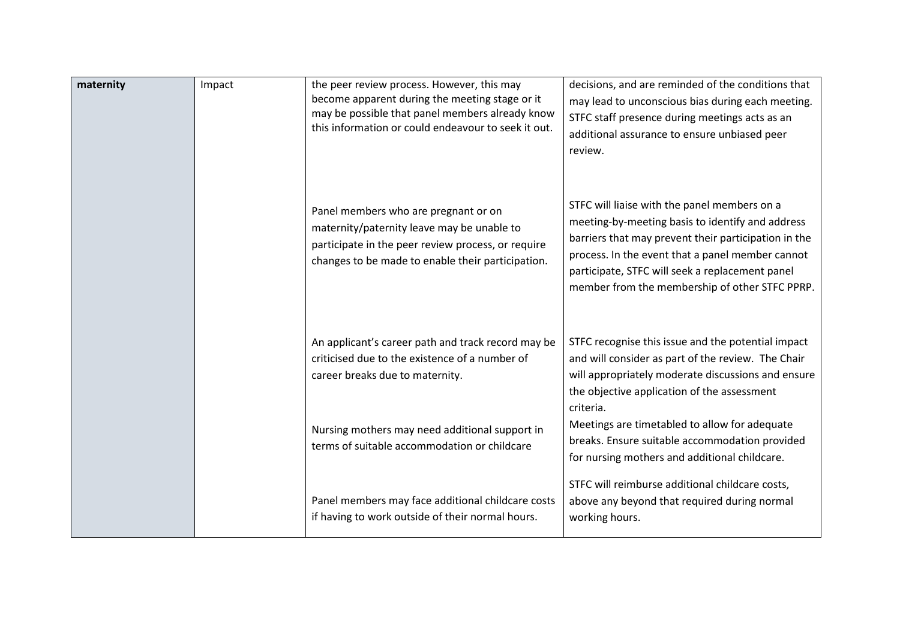| maternity | Impact | the peer review process. However, this may<br>become apparent during the meeting stage or it<br>may be possible that panel members already know<br>this information or could endeavour to seek it out. | decisions, and are reminded of the conditions that<br>may lead to unconscious bias during each meeting.<br>STFC staff presence during meetings acts as an<br>additional assurance to ensure unbiased peer<br>review.                                                                                              |
|-----------|--------|--------------------------------------------------------------------------------------------------------------------------------------------------------------------------------------------------------|-------------------------------------------------------------------------------------------------------------------------------------------------------------------------------------------------------------------------------------------------------------------------------------------------------------------|
|           |        | Panel members who are pregnant or on<br>maternity/paternity leave may be unable to<br>participate in the peer review process, or require<br>changes to be made to enable their participation.          | STFC will liaise with the panel members on a<br>meeting-by-meeting basis to identify and address<br>barriers that may prevent their participation in the<br>process. In the event that a panel member cannot<br>participate, STFC will seek a replacement panel<br>member from the membership of other STFC PPRP. |
|           |        | An applicant's career path and track record may be<br>criticised due to the existence of a number of<br>career breaks due to maternity.                                                                | STFC recognise this issue and the potential impact<br>and will consider as part of the review. The Chair<br>will appropriately moderate discussions and ensure<br>the objective application of the assessment                                                                                                     |
|           |        | Nursing mothers may need additional support in<br>terms of suitable accommodation or childcare                                                                                                         | criteria.<br>Meetings are timetabled to allow for adequate<br>breaks. Ensure suitable accommodation provided<br>for nursing mothers and additional childcare.                                                                                                                                                     |
|           |        | Panel members may face additional childcare costs<br>if having to work outside of their normal hours.                                                                                                  | STFC will reimburse additional childcare costs,<br>above any beyond that required during normal<br>working hours.                                                                                                                                                                                                 |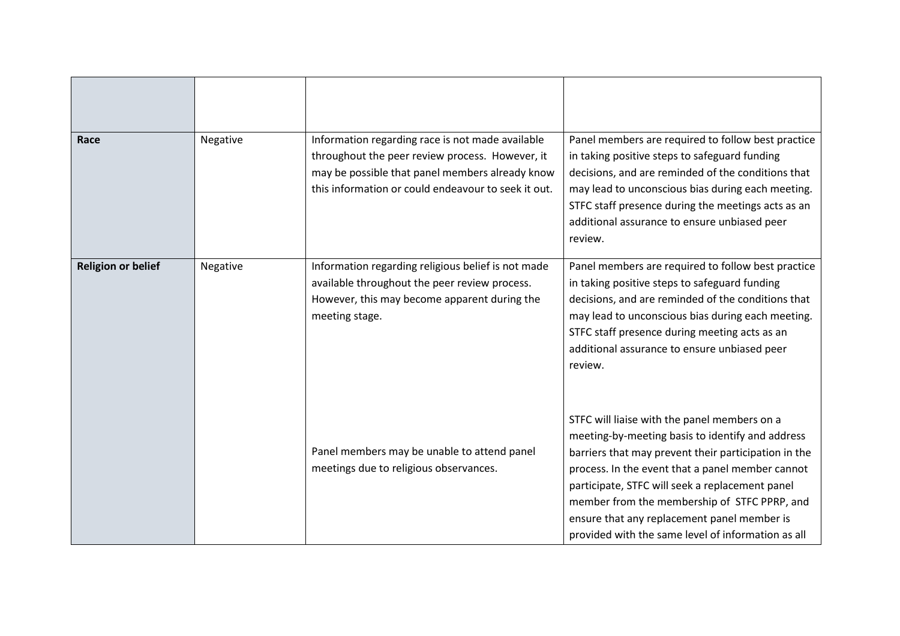| Race                      | Negative | Information regarding race is not made available<br>throughout the peer review process. However, it<br>may be possible that panel members already know<br>this information or could endeavour to seek it out. | Panel members are required to follow best practice<br>in taking positive steps to safeguard funding<br>decisions, and are reminded of the conditions that<br>may lead to unconscious bias during each meeting.<br>STFC staff presence during the meetings acts as an<br>additional assurance to ensure unbiased peer<br>review.                                                                                      |
|---------------------------|----------|---------------------------------------------------------------------------------------------------------------------------------------------------------------------------------------------------------------|----------------------------------------------------------------------------------------------------------------------------------------------------------------------------------------------------------------------------------------------------------------------------------------------------------------------------------------------------------------------------------------------------------------------|
| <b>Religion or belief</b> | Negative | Information regarding religious belief is not made<br>available throughout the peer review process.<br>However, this may become apparent during the<br>meeting stage.                                         | Panel members are required to follow best practice<br>in taking positive steps to safeguard funding<br>decisions, and are reminded of the conditions that<br>may lead to unconscious bias during each meeting.<br>STFC staff presence during meeting acts as an<br>additional assurance to ensure unbiased peer<br>review.                                                                                           |
|                           |          | Panel members may be unable to attend panel<br>meetings due to religious observances.                                                                                                                         | STFC will liaise with the panel members on a<br>meeting-by-meeting basis to identify and address<br>barriers that may prevent their participation in the<br>process. In the event that a panel member cannot<br>participate, STFC will seek a replacement panel<br>member from the membership of STFC PPRP, and<br>ensure that any replacement panel member is<br>provided with the same level of information as all |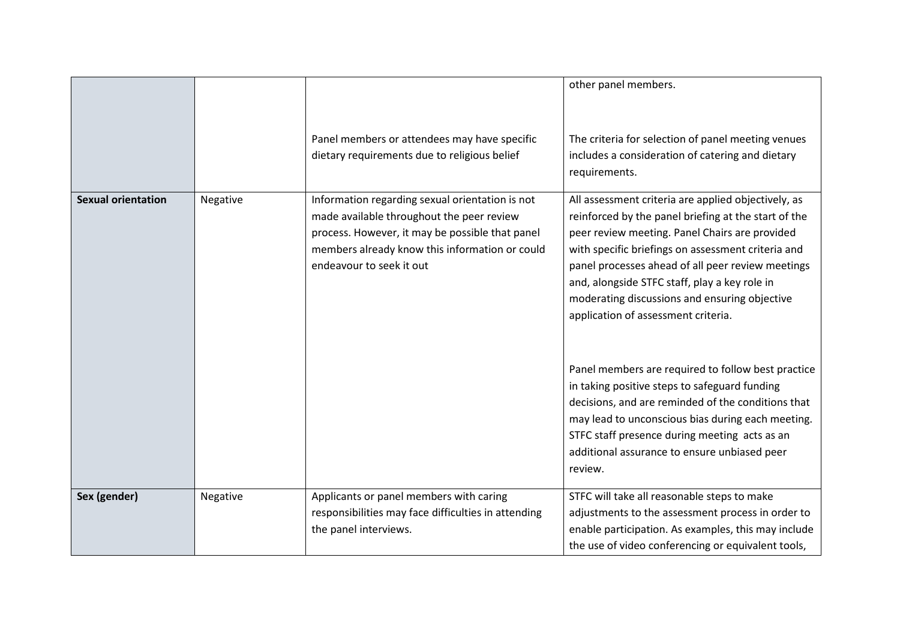|                           |          |                                                                                                                                                                                                                               | other panel members.                                                                                                                                                                                                                                                                                                                                                                                                                                                                                                                                                                                                                                                                                                                            |
|---------------------------|----------|-------------------------------------------------------------------------------------------------------------------------------------------------------------------------------------------------------------------------------|-------------------------------------------------------------------------------------------------------------------------------------------------------------------------------------------------------------------------------------------------------------------------------------------------------------------------------------------------------------------------------------------------------------------------------------------------------------------------------------------------------------------------------------------------------------------------------------------------------------------------------------------------------------------------------------------------------------------------------------------------|
|                           |          | Panel members or attendees may have specific<br>dietary requirements due to religious belief                                                                                                                                  | The criteria for selection of panel meeting venues<br>includes a consideration of catering and dietary<br>requirements.                                                                                                                                                                                                                                                                                                                                                                                                                                                                                                                                                                                                                         |
| <b>Sexual orientation</b> | Negative | Information regarding sexual orientation is not<br>made available throughout the peer review<br>process. However, it may be possible that panel<br>members already know this information or could<br>endeavour to seek it out | All assessment criteria are applied objectively, as<br>reinforced by the panel briefing at the start of the<br>peer review meeting. Panel Chairs are provided<br>with specific briefings on assessment criteria and<br>panel processes ahead of all peer review meetings<br>and, alongside STFC staff, play a key role in<br>moderating discussions and ensuring objective<br>application of assessment criteria.<br>Panel members are required to follow best practice<br>in taking positive steps to safeguard funding<br>decisions, and are reminded of the conditions that<br>may lead to unconscious bias during each meeting.<br>STFC staff presence during meeting acts as an<br>additional assurance to ensure unbiased peer<br>review. |
| Sex (gender)              | Negative | Applicants or panel members with caring<br>responsibilities may face difficulties in attending<br>the panel interviews.                                                                                                       | STFC will take all reasonable steps to make<br>adjustments to the assessment process in order to<br>enable participation. As examples, this may include<br>the use of video conferencing or equivalent tools,                                                                                                                                                                                                                                                                                                                                                                                                                                                                                                                                   |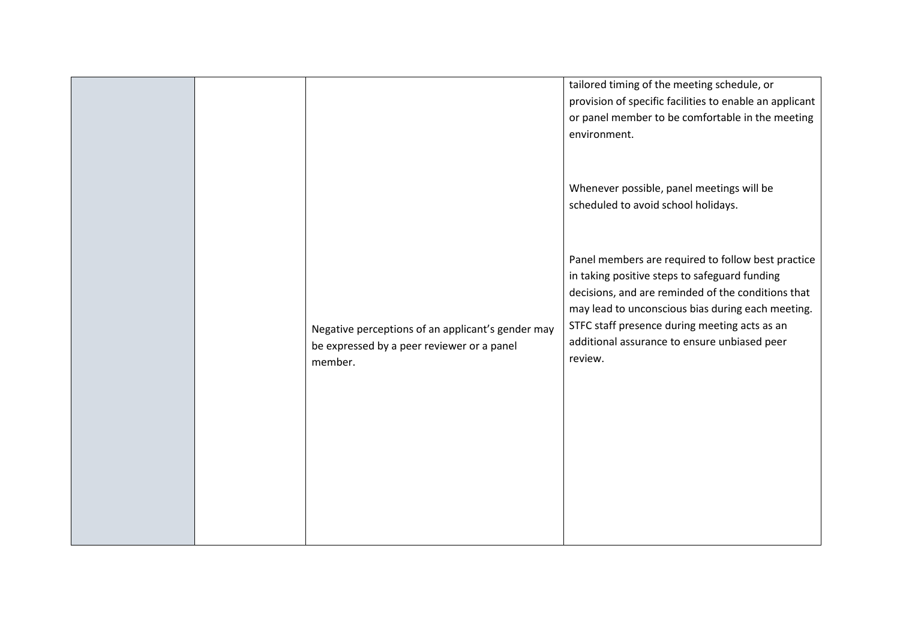|                                                                                                            | tailored timing of the meeting schedule, or<br>provision of specific facilities to enable an applicant<br>or panel member to be comfortable in the meeting<br>environment.                                                                                                                                                 |
|------------------------------------------------------------------------------------------------------------|----------------------------------------------------------------------------------------------------------------------------------------------------------------------------------------------------------------------------------------------------------------------------------------------------------------------------|
|                                                                                                            | Whenever possible, panel meetings will be<br>scheduled to avoid school holidays.                                                                                                                                                                                                                                           |
| Negative perceptions of an applicant's gender may<br>be expressed by a peer reviewer or a panel<br>member. | Panel members are required to follow best practice<br>in taking positive steps to safeguard funding<br>decisions, and are reminded of the conditions that<br>may lead to unconscious bias during each meeting.<br>STFC staff presence during meeting acts as an<br>additional assurance to ensure unbiased peer<br>review. |